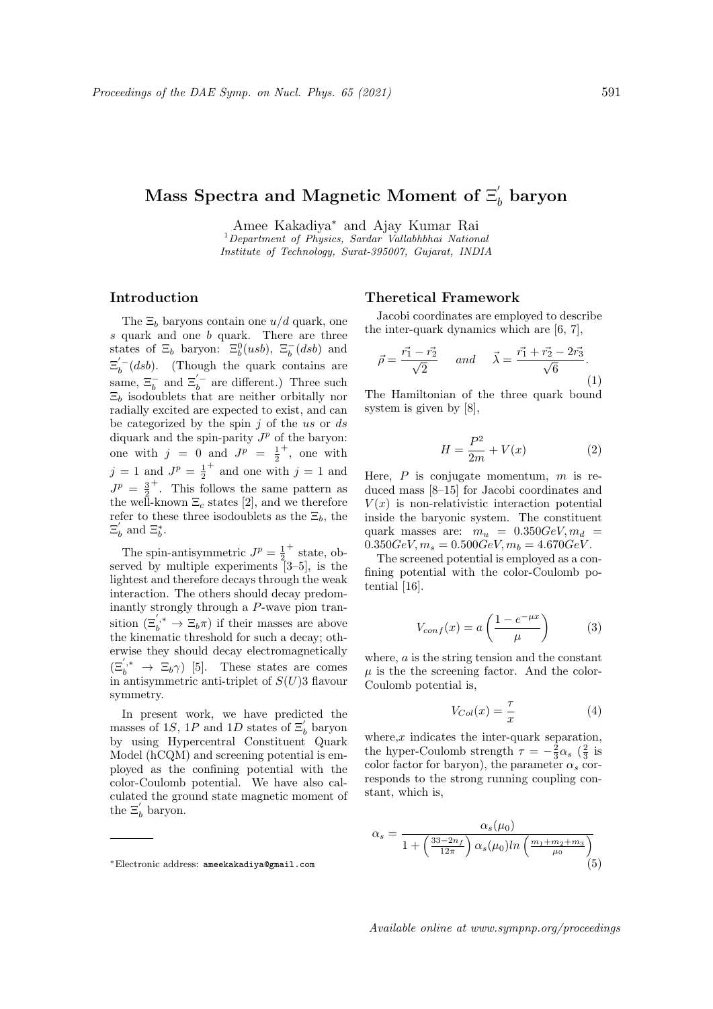# $\mathrm{Mass\ Spectra\ and\ Magnetic\ Moment\ of\ } \Xi_{b}^{'}$  baryon

Amee Kakadiya<sup>∗</sup> and Ajay Kumar Rai

 $1$ Department of Physics, Sardar Vallabhbhai National Institute of Technology, Surat-395007, Gujarat, INDIA

## Introduction

The  $\Xi_b$  baryons contain one  $u/d$  quark, one s quark and one b quark. There are three states of  $\Xi_b$  baryon:  $\Xi_b^0(usb)$ ,  $\Xi_b^-(dsb)$  and  $\Xi_b^{(-}(dsb)$ . (Though the quark contains are same,  $\Xi_b^-$  and  $\Xi_b^{'-}$  are different.) Three such  $\Xi_b$  isodoublets that are neither orbitally nor radially excited are expected to exist, and can be categorized by the spin  $j$  of the us or ds diquark and the spin-parity  $J^p$  of the baryon: one with  $j = 0$  and  $J^p = \frac{1}{2}$ + , one with  $j = 1$  and  $J^{p} = \frac{1}{2}$ <sup>+</sup> and one with  $j = 1$  and  $J^p = \frac{3}{2}$ + . This follows the same pattern as the well-known  $\Xi_c$  states [2], and we therefore refer to these three isodoublets as the  $\Xi_b$ , the  $\Xi'_b$  and  $\Xi^*_b$ .

The spin-antisymmetric  $J^p = \frac{1}{2}$ + state, observed by multiple experiments [3–5], is the lightest and therefore decays through the weak interaction. The others should decay predominantly strongly through a P-wave pion transition  $(\Xi_b^{'},^* \to \Xi_b \pi)$  if their masses are above the kinematic threshold for such a decay; otherwise they should decay electromagnetically  $(\Xi_b^{'*} \rightarrow \Xi_b \gamma)$  [5]. These states are comes in antisymmetric anti-triplet of  $S(U)$ 3 flavour symmetry.

In present work, we have predicted the masses of 1S, 1P and 1D states of  $\Xi_b$  baryon by using Hypercentral Constituent Quark Model (hCQM) and screening potential is employed as the confining potential with the color-Coulomb potential. We have also calculated the ground state magnetic moment of the  $\Xi'_b$  baryon.

#### Theretical Framework

Jacobi coordinates are employed to describe the inter-quark dynamics which are [6, 7],

$$
\vec{\rho} = \frac{\vec{r_1} - \vec{r_2}}{\sqrt{2}} \quad \text{and} \quad \vec{\lambda} = \frac{\vec{r_1} + \vec{r_2} - 2\vec{r_3}}{\sqrt{6}}.
$$
\n(1)

The Hamiltonian of the three quark bound system is given by [8],

$$
H = \frac{P^2}{2m} + V(x) \tag{2}
$$

Here,  $P$  is conjugate momentum,  $m$  is reduced mass [8–15] for Jacobi coordinates and  $V(x)$  is non-relativistic interaction potential inside the baryonic system. The constituent quark masses are:  $m_u = 0.350 GeV, m_d =$  $0.350GeV, m_s = 0.500GeV, m_b = 4.670GeV.$ 

The screened potential is employed as a confining potential with the color-Coulomb potential [16].

$$
V_{conf}(x) = a \left(\frac{1 - e^{-\mu x}}{\mu}\right) \tag{3}
$$

where, a is the string tension and the constant  $\mu$  is the the screening factor. And the color-Coulomb potential is,

$$
V_{Col}(x) = \frac{\tau}{x} \tag{4}
$$

where, $x$  indicates the inter-quark separation, the hyper-Coulomb strength  $\tau = -\frac{2}{3}\alpha_s$  ( $\frac{2}{3}$  is color factor for baryon), the parameter  $\alpha_s$  corresponds to the strong running coupling constant, which is,

$$
\alpha_s = \frac{\alpha_s(\mu_0)}{1 + \left(\frac{33 - 2n_f}{12\pi}\right) \alpha_s(\mu_0) \ln\left(\frac{m_1 + m_2 + m_3}{\mu_0}\right)} \tag{5}
$$

<sup>∗</sup>Electronic address: ameekakadiya@gmail.com